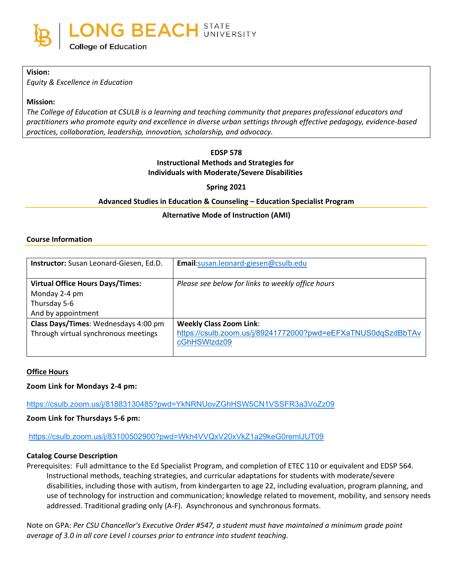#### **Vision:**

*Equity & Excellence in Education*

### **Mission:**

*The College of Education at CSULB is a learning and teaching community that prepares professional educators and practitioners who promote equity and excellence in diverse urban settings through effective pedagogy, evidence-based practices, collaboration, leadership, innovation, scholarship, and advocacy.*

#### **EDSP 578**

# **Instructional Methods and Strategies for**

**Individuals with Moderate/Severe Disabilities**

**Spring 2021**

## **Advanced Studies in Education & Counseling – Education Specialist Program**

### **Alternative Mode of Instruction (AMI)**

#### **Course Information**

| Instructor: Susan Leonard-Giesen, Ed.D. | Email:susan.leonard-giesen@csulb.edu                         |
|-----------------------------------------|--------------------------------------------------------------|
|                                         |                                                              |
| <b>Virtual Office Hours Days/Times:</b> | Please see below for links to weekly office hours            |
| Monday 2-4 pm                           |                                                              |
| Thursday 5-6                            |                                                              |
| And by appointment                      |                                                              |
| Class Days/Times: Wednesdays 4:00 pm    | <b>Weekly Class Zoom Link:</b>                               |
| Through virtual synchronous meetings    | https://csulb.zoom.us/j/89241772000?pwd=eEFXaTNUS0dqSzdBbTAv |
|                                         | cGhHSWIzdz09                                                 |
|                                         |                                                              |

#### **Office Hours**

### **Zoom Link for Mondays 2-4 pm:**

<https://csulb.zoom.us/j/81883130485?pwd=YkNRNUovZGhHSW5CN1VSSFR3a3VoZz09>

### **Zoom Link for Thursdays 5-6 pm:**

<https://csulb.zoom.us/j/83100502900?pwd=Wkh4VVQxV20xVkZ1a29keG0remlJUT09>

### **Catalog Course Description**

Prerequisites: Full admittance to the Ed Specialist Program, and completion of ETEC 110 or equivalent and EDSP 564. Instructional methods, teaching strategies, and curricular adaptations for students with moderate/severe disabilities, including those with autism, from kindergarten to age 22, including evaluation, program planning, and use of technology for instruction and communication; knowledge related to movement, mobility, and sensory needs addressed. Traditional grading only (A-F). Asynchronous and synchronous formats.

Note on GPA: *Per CSU Chancellor's Executive Order #547, a student must have maintained a minimum grade point average of 3.0 in all core Level I courses prior to entrance into student teaching.*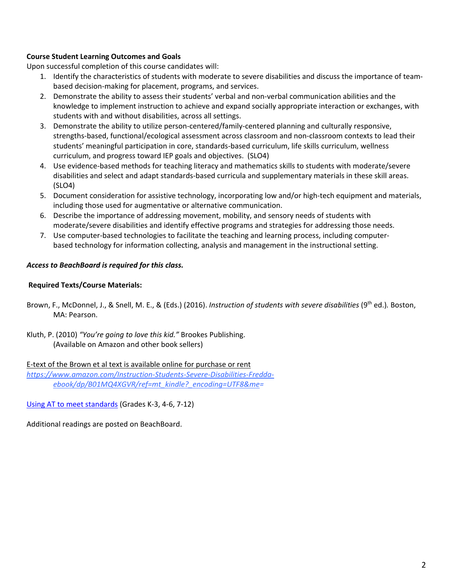# **Course Student Learning Outcomes and Goals**

Upon successful completion of this course candidates will:

- 1. Identify the characteristics of students with moderate to severe disabilities and discuss the importance of teambased decision-making for placement, programs, and services.
- 2. Demonstrate the ability to assess their students' verbal and non-verbal communication abilities and the knowledge to implement instruction to achieve and expand socially appropriate interaction or exchanges, with students with and without disabilities, across all settings.
- 3. Demonstrate the ability to utilize person-centered/family-centered planning and culturally responsive, strengths-based, functional/ecological assessment across classroom and non-classroom contexts to lead their students' meaningful participation in core, standards-based curriculum, life skills curriculum, wellness curriculum, and progress toward IEP goals and objectives. (SLO4)
- 4. Use evidence-based methods for teaching literacy and mathematics skills to students with moderate/severe disabilities and select and adapt standards-based curricula and supplementary materials in these skill areas. (SLO4)
- 5. Document consideration for assistive technology, incorporating low and/or high-tech equipment and materials, including those used for augmentative or alternative communication.
- 6. Describe the importance of addressing movement, mobility, and sensory needs of students with moderate/severe disabilities and identify effective programs and strategies for addressing those needs.
- 7. Use computer-based technologies to facilitate the teaching and learning process, including computerbased technology for information collecting, analysis and management in the instructional setting.

### *Access to BeachBoard is required for this class.*

### **Required Texts/Course Materials:**

- Brown, F., McDonnel, J., & Snell, M. E., & (Eds.) (2016). *Instruction of students with severe disabilities* (9th ed.)*.* Boston, MA: Pearson.
- Kluth, P. (2010) *"You're going to love this kid."* Brookes Publishing. (Available on Amazon and other book sellers)

E-text of the Brown et al text is available online for purchase or rent *[https://www.amazon.com/Instruction-Students-Severe-Disabilities-Fredda](https://www.amazon.com/Instruction-Students-Severe-Disabilities-Fredda-ebook/dp/B01MQ4XGVR/ref=mt_kindle?_encoding=UTF8&me)[ebook/dp/B01MQ4XGVR/ref=mt\\_kindle?\\_encoding=UTF8&me=](https://www.amazon.com/Instruction-Students-Severe-Disabilities-Fredda-ebook/dp/B01MQ4XGVR/ref=mt_kindle?_encoding=UTF8&me)*

[Using AT to meet standards](http://www.attainmentcompany.com/product.php?productid=16141&cat=0&page=1) (Grades K-3, 4-6, 7-12)

Additional readings are posted on BeachBoard.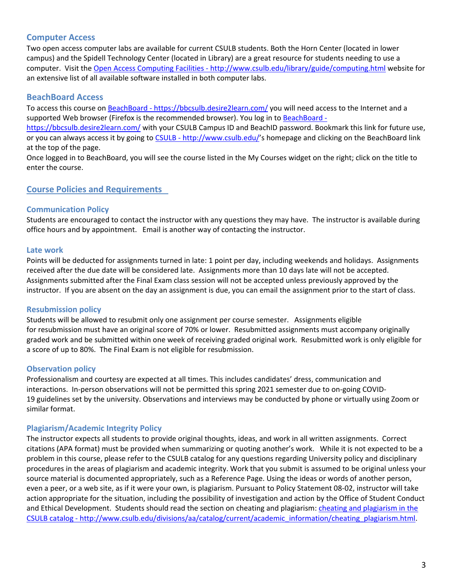# **Computer Access**

Two open access computer labs are available for current CSULB students. Both the Horn Center (located in lower campus) and the Spidell Technology Center (located in Library) are a great resource for students needing to use a computer.  Visit the Open Access Computing Facilities - <http://www.csulb.edu/library/guide/computing.html> website for an extensive list of all available software installed in both computer labs. 

# **BeachBoard Access**

To access this course on BeachBoard - <https://bbcsulb.desire2learn.com/> you will need access to the Internet and a supported Web browser (Firefox is the recommended browser). You log in to [BeachBoard -](https://bbcsulb.desire2learn.com/)

<https://bbcsulb.desire2learn.com/> with your CSULB Campus ID and BeachID password. Bookmark this link for future use, or you can always access it by going to CSULB - [http://www.csulb.edu/'](http://www.csulb.edu/)s homepage and clicking on the BeachBoard link at the top of the page. 

Once logged in to BeachBoard, you will see the course listed in the My Courses widget on the right; click on the title to enter the course. 

## **Course Policies and Requirements**

## **Communication Policy**

Students are encouraged to contact the instructor with any questions they may have.  The instructor is available during office hours and by appointment.   Email is another way of contacting the instructor. 

### **Late work**

Points will be deducted for assignments turned in late: 1 point per day, including weekends and holidays.  Assignments received after the due date will be considered late.  Assignments more than 10 days late will not be accepted.  Assignments submitted after the Final Exam class session will not be accepted unless previously approved by the instructor.  If you are absent on the day an assignment is due, you can email the assignment prior to the start of class. 

### **Resubmission policy**

Students will be allowed to resubmit only one assignment per course semester.   Assignments eligible for resubmission must have an original score of 70% or lower.  Resubmitted assignments must accompany originally graded work and be submitted within one week of receiving graded original work.  Resubmitted work is only eligible for a score of up to 80%.  The Final Exam is not eligible for resubmission. 

### **Observation policy**

Professionalism and courtesy are expected at all times. This includes candidates' dress, communication and interactions.  In-person observations will not be permitted this spring 2021 semester due to on-going COVID-19 guidelines set by the university. Observations and interviews may be conducted by phone or virtually using Zoom or similar format.  

### **Plagiarism/Academic Integrity Policy**

The instructor expects all students to provide original thoughts, ideas, and work in all written assignments.  Correct citations (APA format) must be provided when summarizing or quoting another's work.   While it is not expected to be a problem in this course, please refer to the CSULB catalog for any questions regarding University policy and disciplinary procedures in the areas of plagiarism and academic integrity. Work that you submit is assumed to be original unless your source material is documented appropriately, such as a Reference Page. Using the ideas or words of another person, even a peer, or a web site, as if it were your own, is plagiarism. Pursuant to Policy Statement 08-02, instructor will take action appropriate for the situation, including the possibility of investigation and action by the Office of Student Conduct and Ethical Development. Students should read the section on cheating and plagiarism: cheating and plagiarism in the CSULB catalog - [http://www.csulb.edu/divisions/aa/catalog/current/academic\\_information/cheating\\_plagiarism.html](http://www.csulb.edu/divisions/aa/catalog/current/academic_information/cheating_plagiarism.html).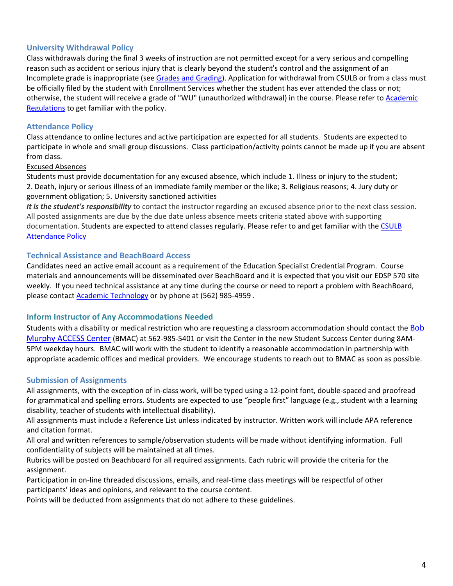# **University Withdrawal Policy**

Class withdrawals during the final 3 weeks of instruction are not permitted except for a very serious and compelling reason such as accident or serious injury that is clearly beyond the student's control and the assignment of an Incomplete grade is inappropriate (see [Grades and Grading\)](http://www.csulb.edu/depts/enrollment/student_academic_records/grading.html). Application for withdrawal from CSULB or from a class must be officially filed by the student with Enrollment Services whether the student has ever attended the class or not; otherwise, the student will receive a grade of "WU" (unauthorized withdrawal) in the course. Please refer to [Academic](http://www.csulb.edu/divisions/aa/catalog/current/academic_regulations/withdrawal_policy.html)  [Regulations t](http://www.csulb.edu/divisions/aa/catalog/current/academic_regulations/withdrawal_policy.html)o get familiar with the policy. 

# **Attendance Policy**

Class attendance to online lectures and active participation are expected for all students.  Students are expected to participate in whole and small group discussions.  Class participation/activity points cannot be made up if you are absent from class. 

### Excused Absences

Students must provide documentation for any excused absence, which include 1. Illness or injury to the student; 2. Death, injury or serious illness of an immediate family member or the like; 3. Religious reasons; 4. Jury duty or government obligation; 5. University sanctioned activities  

*It is the student's responsibility* to contact the instructor regarding an excused absence prior to the next class session.  All posted assignments are due by the due date unless absence meets criteria stated above with supporting documentation. Students are expected to attend classes regularly. Please refer to and get familiar with the [CSULB](http://www.csulb.edu/divisions/aa/catalog/current/academic_information/class_attendance.html)  [Attendance](http://www.csulb.edu/divisions/aa/catalog/current/academic_information/class_attendance.html) Policy  

### **Technical Assistance and BeachBoard Access**

Candidates need an active email account as a requirement of the Education Specialist Credential Program.  Course materials and announcements will be disseminated over BeachBoard and it is expected that you visit our EDSP 570 site weekly.  If you need technical assistance at any time during the course or need to report a problem with BeachBoard, please contact **[Academic Technology](http://www.csulb.edu/divisions/aa/academic_technology/thd/contact/)** or by phone at (562) 985-4959.

### **Inform Instructor of Any Accommodations Needed**

Students with a disability or medical restriction who are requesting a classroom accommodation should contact the **Bob** [Murphy ACCESS Center](http://web.csulb.edu/divisions/students/dss/about/) (BMAC) at 562-985-5401 or visit the Center in the new Student Success Center during 8AM-5PM weekday hours.  BMAC will work with the student to identify a reasonable accommodation in partnership with appropriate academic offices and medical providers.  We encourage students to reach out to BMAC as soon as possible. 

### **Submission of Assignments**

All assignments, with the exception of in-class work, will be typed using a 12-point font, double-spaced and proofread for grammatical and spelling errors. Students are expected to use "people first" language (e.g., student with a learning disability, teacher of students with intellectual disability). 

All assignments must include a Reference List unless indicated by instructor. Written work will include APA reference and citation format.  

All oral and written references to sample/observation students will be made without identifying information.  Full confidentiality of subjects will be maintained at all times. 

Rubrics will be posted on Beachboard for all required assignments. Each rubric will provide the criteria for the assignment. 

Participation in on-line threaded discussions, emails, and real-time class meetings will be respectful of other participants' ideas and opinions, and relevant to the course content.   

Points will be deducted from assignments that do not adhere to these guidelines.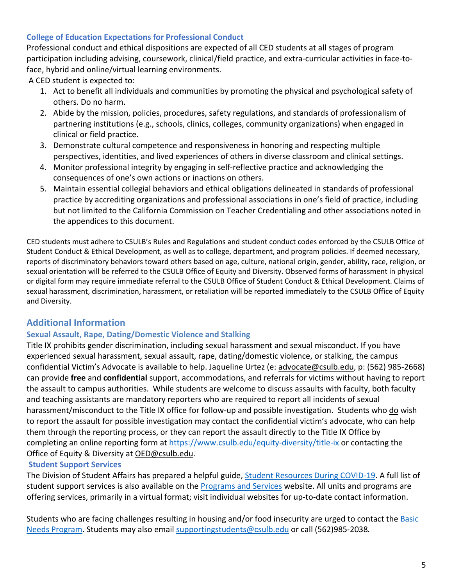# **College of Education Expectations for Professional Conduct**

Professional conduct and ethical dispositions are expected of all CED students at all stages of program participation including advising, coursework, clinical/field practice, and extra-curricular activities in face-toface, hybrid and online/virtual learning environments.

A CED student is expected to:

- 1. Act to benefit all individuals and communities by promoting the physical and psychological safety of others. Do no harm.
- 2. Abide by the mission, policies, procedures, safety regulations, and standards of professionalism of partnering institutions (e.g., schools, clinics, colleges, community organizations) when engaged in clinical or field practice.
- 3. Demonstrate cultural competence and responsiveness in honoring and respecting multiple perspectives, identities, and lived experiences of others in diverse classroom and clinical settings.
- 4. Monitor professional integrity by engaging in self-reflective practice and acknowledging the consequences of one's own actions or inactions on others.
- 5. Maintain essential collegial behaviors and ethical obligations delineated in standards of professional practice by accrediting organizations and professional associations in one's field of practice, including but not limited to the California Commission on Teacher Credentialing and other associations noted in the appendices to this document.

CED students must adhere to CSULB's Rules and Regulations and student conduct codes enforced by the CSULB Office of Student Conduct & Ethical Development, as well as to college, department, and program policies. If deemed necessary, reports of discriminatory behaviors toward others based on age, culture, national origin, gender, ability, race, religion, or sexual orientation will be referred to the CSULB Office of Equity and Diversity. Observed forms of harassment in physical or digital form may require immediate referral to the CSULB Office of Student Conduct & Ethical Development. Claims of sexual harassment, discrimination, harassment, or retaliation will be reported immediately to the CSULB Office of Equity and Diversity.

# **Additional Information**

# **Sexual Assault, Rape, Dating/Domestic Violence and Stalking**

Title IX prohibits gender discrimination, including sexual harassment and sexual misconduct. If you have experienced sexual harassment, sexual assault, rape, dating/domestic violence, or stalking, the campus confidential Victim's Advocate is available to help. Jaqueline Urtez (e: [advocate@csulb.edu](mailto:advocate@csulb.edu), p: (562) 985-2668) can provide **free** and **confidential** support, accommodations, and referrals for victims without having to report the assault to campus authorities.  While students are welcome to discuss assaults with faculty, both faculty and teaching assistants are mandatory reporters who are required to report all incidents of sexual harassment/misconduct to the Title IX office for follow-up and possible investigation. Students who do wish to report the assault for possible investigation may contact the confidential victim's advocate, who can help them through the reporting process, or they can report the assault directly to the Title IX Office by completing an online reporting form at <https://www.csulb.edu/equity-diversity/title-ix> or contacting the Office of Equity & Diversity at [OED@csulb.edu.](mailto:OED@csulb.edu)

# **Student Support Services**

The Division of Student Affairs has prepared a helpful guide, [Student Resources During COVID](http://web.csulb.edu/divisions/students/documents/2020_COVID19_StudentResourceBook_ADA.pdf)-19. A full list of student support services is also available on the [Programs and Services](http://web.csulb.edu/divisions/students/programs.html) website. All units and programs are offering services, primarily in a virtual format; visit individual websites for up-to-date contact information.

Students who are facing challenges resulting in housing and/or food insecurity are urged to contact the Basic [Needs Program.](http://web.csulb.edu/divisions/students/basic_needs_program/index.html) Students may also email [supportingstudents@csulb.edu](mailto:supportingstudents@csulb.edu) or call (562)985-2038*.*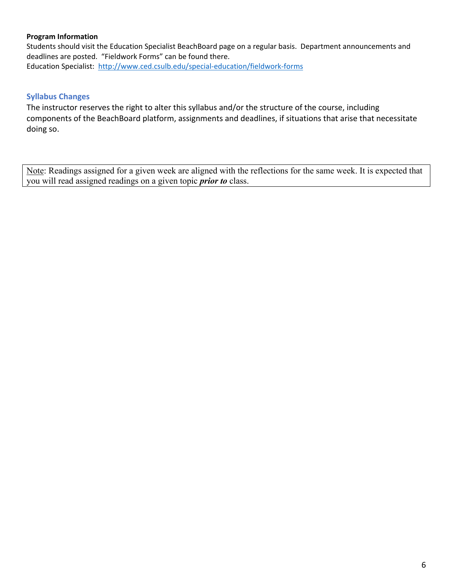## **Program Information**

Students should visit the Education Specialist BeachBoard page on a regular basis. Department announcements and deadlines are posted. "Fieldwork Forms" can be found there. Education Specialist: <http://www.ced.csulb.edu/special-education/fieldwork-forms>

# **Syllabus Changes**

The instructor reserves the right to alter this syllabus and/or the structure of the course, including components of the BeachBoard platform, assignments and deadlines, if situations that arise that necessitate doing so.

Note: Readings assigned for a given week are aligned with the reflections for the same week. It is expected that you will read assigned readings on a given topic *prior to* class.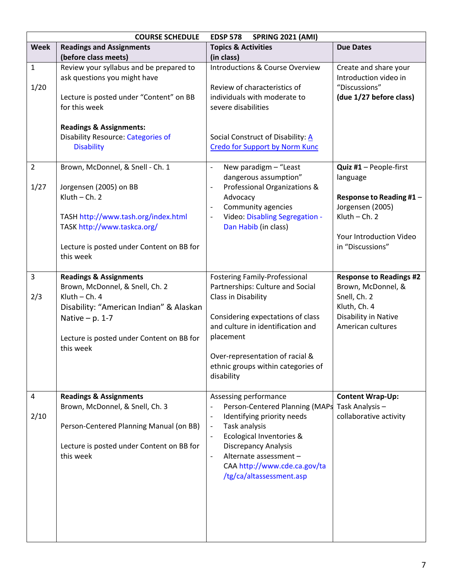| <b>COURSE SCHEDULE</b><br><b>SPRING 2021 (AMI)</b><br><b>EDSP 578</b> |                                                                                                                                                                                                                   |                                                                                                                                                                                                                                                                                                                                            |                                                                                                                                                      |
|-----------------------------------------------------------------------|-------------------------------------------------------------------------------------------------------------------------------------------------------------------------------------------------------------------|--------------------------------------------------------------------------------------------------------------------------------------------------------------------------------------------------------------------------------------------------------------------------------------------------------------------------------------------|------------------------------------------------------------------------------------------------------------------------------------------------------|
| <b>Week</b>                                                           | <b>Readings and Assignments</b>                                                                                                                                                                                   | <b>Topics &amp; Activities</b>                                                                                                                                                                                                                                                                                                             | <b>Due Dates</b>                                                                                                                                     |
|                                                                       | (before class meets)                                                                                                                                                                                              | (in class)                                                                                                                                                                                                                                                                                                                                 |                                                                                                                                                      |
| $\mathbf{1}$<br>1/20                                                  | Review your syllabus and be prepared to<br>ask questions you might have<br>Lecture is posted under "Content" on BB<br>for this week                                                                               | <b>Introductions &amp; Course Overview</b><br>Review of characteristics of<br>individuals with moderate to<br>severe disabilities                                                                                                                                                                                                          | Create and share your<br>Introduction video in<br>"Discussions"<br>(due 1/27 before class)                                                           |
|                                                                       | <b>Readings &amp; Assignments:</b><br><b>Disability Resource: Categories of</b><br><b>Disability</b>                                                                                                              | Social Construct of Disability: A<br><b>Credo for Support by Norm Kunc</b>                                                                                                                                                                                                                                                                 |                                                                                                                                                      |
| $\overline{2}$<br>1/27                                                | Brown, McDonnel, & Snell - Ch. 1<br>Jorgensen (2005) on BB<br>$Kluth$ - Ch. 2<br>TASH http://www.tash.org/index.html<br>TASK http://www.taskca.org/<br>Lecture is posted under Content on BB for<br>this week     | New paradigm - "Least<br>$\frac{1}{2}$<br>dangerous assumption"<br>Professional Organizations &<br>$\blacksquare$<br>Advocacy<br>Community agencies<br>$\overline{\phantom{a}}$<br>Video: Disabling Segregation -<br>Dan Habib (in class)                                                                                                  | Quiz #1 - People-first<br>language<br>Response to Reading #1 -<br>Jorgensen (2005)<br>$Kluth$ - Ch. 2<br>Your Introduction Video<br>in "Discussions" |
| 3<br>2/3                                                              | <b>Readings &amp; Assignments</b><br>Brown, McDonnel, & Snell, Ch. 2<br>$Kluth$ - Ch. 4<br>Disability: "American Indian" & Alaskan<br>Native $- p. 1-7$<br>Lecture is posted under Content on BB for<br>this week | <b>Fostering Family-Professional</b><br>Partnerships: Culture and Social<br>Class in Disability<br>Considering expectations of class<br>and culture in identification and<br>placement<br>Over-representation of racial &<br>ethnic groups within categories of<br>disability                                                              | <b>Response to Readings #2</b><br>Brown, McDonnel, &<br>Snell, Ch. 2<br>Kluth, Ch. 4<br>Disability in Native<br>American cultures                    |
| 4<br>2/10                                                             | <b>Readings &amp; Assignments</b><br>Brown, McDonnel, & Snell, Ch. 3<br>Person-Centered Planning Manual (on BB)<br>Lecture is posted under Content on BB for<br>this week                                         | Assessing performance<br>Person-Centered Planning (MAPs<br>Identifying priority needs<br>$\overline{\phantom{a}}$<br>Task analysis<br>$\overline{\phantom{a}}$<br>Ecological Inventories &<br>$\overline{\phantom{a}}$<br><b>Discrepancy Analysis</b><br>Alternate assessment-<br>CAA http://www.cde.ca.gov/ta<br>/tg/ca/altassessment.asp | <b>Content Wrap-Up:</b><br>Task Analysis-<br>collaborative activity                                                                                  |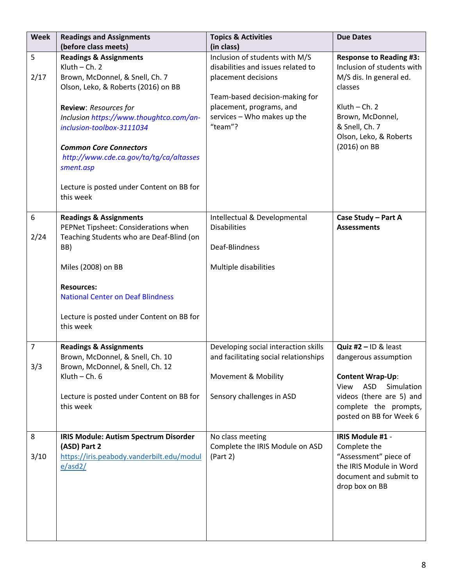| <b>Week</b> | <b>Readings and Assignments</b>                                                               | <b>Topics &amp; Activities</b>                                                              | <b>Due Dates</b>                                                                                             |
|-------------|-----------------------------------------------------------------------------------------------|---------------------------------------------------------------------------------------------|--------------------------------------------------------------------------------------------------------------|
|             | (before class meets)                                                                          | (in class)                                                                                  |                                                                                                              |
| 5<br>2/17   | <b>Readings &amp; Assignments</b><br>$Kluth$ - Ch. 2<br>Brown, McDonnel, & Snell, Ch. 7       | Inclusion of students with M/S<br>disabilities and issues related to<br>placement decisions | <b>Response to Reading #3:</b><br>Inclusion of students with<br>M/S dis. In general ed.                      |
|             | Olson, Leko, & Roberts (2016) on BB                                                           | Team-based decision-making for                                                              | classes                                                                                                      |
|             | Review: Resources for<br>Inclusion https://www.thoughtco.com/an-<br>inclusion-toolbox-3111034 | placement, programs, and<br>services - Who makes up the<br>"team"?                          | Kluth $-$ Ch. 2<br>Brown, McDonnel,<br>& Snell, Ch. 7<br>Olson, Leko, & Roberts                              |
|             | <b>Common Core Connectors</b><br>http://www.cde.ca.gov/ta/tg/ca/altasses<br>sment.asp         |                                                                                             | (2016) on BB                                                                                                 |
|             | Lecture is posted under Content on BB for<br>this week                                        |                                                                                             |                                                                                                              |
| 6           | <b>Readings &amp; Assignments</b>                                                             | Intellectual & Developmental                                                                | Case Study - Part A                                                                                          |
| 2/24        | PEPNet Tipsheet: Considerations when<br>Teaching Students who are Deaf-Blind (on              | <b>Disabilities</b>                                                                         | <b>Assessments</b>                                                                                           |
|             | BB)                                                                                           | Deaf-Blindness                                                                              |                                                                                                              |
|             | Miles (2008) on BB                                                                            | Multiple disabilities                                                                       |                                                                                                              |
|             | <b>Resources:</b><br><b>National Center on Deaf Blindness</b>                                 |                                                                                             |                                                                                                              |
|             | Lecture is posted under Content on BB for<br>this week                                        |                                                                                             |                                                                                                              |
| 7           | <b>Readings &amp; Assignments</b>                                                             | Developing social interaction skills                                                        | Quiz $#2 - ID & least$                                                                                       |
| 3/3         | Brown, McDonnel, & Snell, Ch. 10<br>Brown, McDonnel, & Snell, Ch. 12                          | and facilitating social relationships                                                       | dangerous assumption                                                                                         |
|             | Kluth $-$ Ch. $6$                                                                             | Movement & Mobility                                                                         | <b>Content Wrap-Up:</b><br><b>ASD</b><br>Simulation<br>View                                                  |
|             | Lecture is posted under Content on BB for<br>this week                                        | Sensory challenges in ASD                                                                   | videos (there are 5) and<br>complete the prompts,<br>posted on BB for Week 6                                 |
| 8           | IRIS Module: Autism Spectrum Disorder                                                         | No class meeting                                                                            | IRIS Module #1 -                                                                                             |
| 3/10        | (ASD) Part 2<br>https://iris.peabody.vanderbilt.edu/modul<br>e/asd2/                          | Complete the IRIS Module on ASD<br>(Part 2)                                                 | Complete the<br>"Assessment" piece of<br>the IRIS Module in Word<br>document and submit to<br>drop box on BB |
|             |                                                                                               |                                                                                             |                                                                                                              |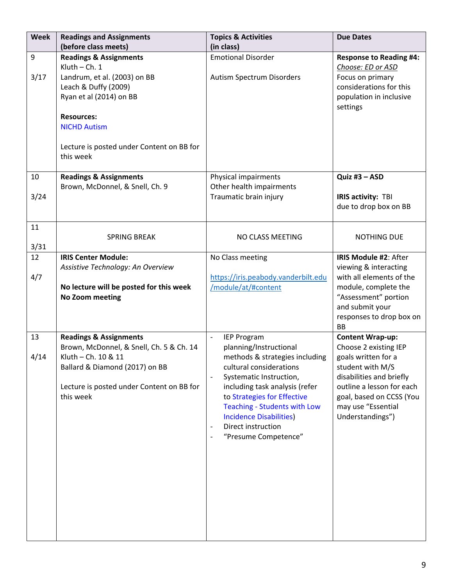| <b>Week</b> | <b>Readings and Assignments</b><br>(before class meets)                                                                                                                                                                                       | <b>Topics &amp; Activities</b><br>(in class)                                                                                                                                                                                                                                                                                                                                                | <b>Due Dates</b>                                                                                                                                                                                |
|-------------|-----------------------------------------------------------------------------------------------------------------------------------------------------------------------------------------------------------------------------------------------|---------------------------------------------------------------------------------------------------------------------------------------------------------------------------------------------------------------------------------------------------------------------------------------------------------------------------------------------------------------------------------------------|-------------------------------------------------------------------------------------------------------------------------------------------------------------------------------------------------|
|             |                                                                                                                                                                                                                                               | <b>Emotional Disorder</b>                                                                                                                                                                                                                                                                                                                                                                   |                                                                                                                                                                                                 |
| 9<br>3/17   | <b>Readings &amp; Assignments</b><br>Kluth $-$ Ch. 1<br>Landrum, et al. (2003) on BB<br>Leach & Duffy (2009)<br>Ryan et al (2014) on BB<br><b>Resources:</b><br><b>NICHD Autism</b><br>Lecture is posted under Content on BB for<br>this week | Autism Spectrum Disorders                                                                                                                                                                                                                                                                                                                                                                   | <b>Response to Reading #4:</b><br>Choose: ED or ASD<br>Focus on primary<br>considerations for this<br>population in inclusive<br>settings                                                       |
| 10          | <b>Readings &amp; Assignments</b>                                                                                                                                                                                                             | Physical impairments                                                                                                                                                                                                                                                                                                                                                                        | Quiz #3 - ASD                                                                                                                                                                                   |
| 3/24        | Brown, McDonnel, & Snell, Ch. 9                                                                                                                                                                                                               | Other health impairments<br>Traumatic brain injury                                                                                                                                                                                                                                                                                                                                          | IRIS activity: TBI<br>due to drop box on BB                                                                                                                                                     |
| 11<br>3/31  | <b>SPRING BREAK</b>                                                                                                                                                                                                                           | NO CLASS MEETING                                                                                                                                                                                                                                                                                                                                                                            | <b>NOTHING DUE</b>                                                                                                                                                                              |
| 12          | <b>IRIS Center Module:</b>                                                                                                                                                                                                                    | No Class meeting                                                                                                                                                                                                                                                                                                                                                                            | IRIS Module #2: After                                                                                                                                                                           |
| 4/7         | Assistive Technology: An Overview<br>No lecture will be posted for this week<br>No Zoom meeting                                                                                                                                               | https://iris.peabody.vanderbilt.edu<br>/module/at/#content                                                                                                                                                                                                                                                                                                                                  | viewing & interacting<br>with all elements of the<br>module, complete the<br>"Assessment" portion<br>and submit your<br>responses to drop box on<br><b>BB</b>                                   |
| 13          | <b>Readings &amp; Assignments</b>                                                                                                                                                                                                             | <b>IEP Program</b><br>$\blacksquare$                                                                                                                                                                                                                                                                                                                                                        | <b>Content Wrap-up:</b>                                                                                                                                                                         |
| 4/14        | Brown, McDonnel, & Snell, Ch. 5 & Ch. 14<br>Kluth - Ch. 10 & 11<br>Ballard & Diamond (2017) on BB<br>Lecture is posted under Content on BB for<br>this week                                                                                   | planning/Instructional<br>methods & strategies including<br>cultural considerations<br>Systematic Instruction,<br>$\overline{\phantom{a}}$<br>including task analysis (refer<br>to Strategies for Effective<br><b>Teaching - Students with Low</b><br><b>Incidence Disabilities</b> )<br>Direct instruction<br>$\overline{\phantom{a}}$<br>"Presume Competence"<br>$\overline{\phantom{a}}$ | Choose 2 existing IEP<br>goals written for a<br>student with M/S<br>disabilities and briefly<br>outline a lesson for each<br>goal, based on CCSS (You<br>may use "Essential<br>Understandings") |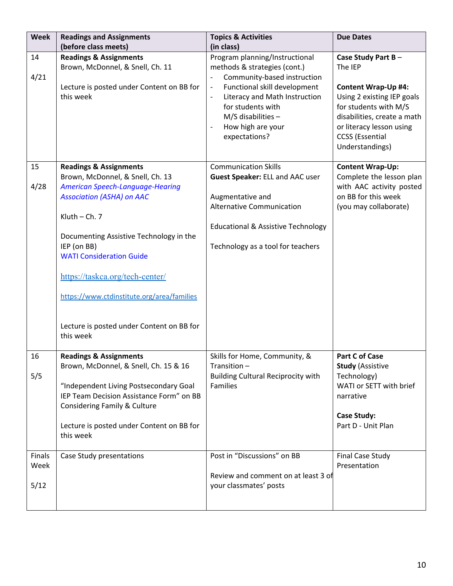| <b>Week</b>                         | <b>Readings and Assignments</b><br>(before class meets)                                                                                                                                                                                                                                                                                                                                                    | <b>Topics &amp; Activities</b><br>(in class)                                                                                                                                                                                                                                                                    | <b>Due Dates</b>                                                                                                                                                                                                           |
|-------------------------------------|------------------------------------------------------------------------------------------------------------------------------------------------------------------------------------------------------------------------------------------------------------------------------------------------------------------------------------------------------------------------------------------------------------|-----------------------------------------------------------------------------------------------------------------------------------------------------------------------------------------------------------------------------------------------------------------------------------------------------------------|----------------------------------------------------------------------------------------------------------------------------------------------------------------------------------------------------------------------------|
| 14<br>4/21                          | <b>Readings &amp; Assignments</b><br>Brown, McDonnel, & Snell, Ch. 11<br>Lecture is posted under Content on BB for<br>this week                                                                                                                                                                                                                                                                            | Program planning/Instructional<br>methods & strategies (cont.)<br>Community-based instruction<br>Functional skill development<br>$\overline{\phantom{m}}$<br>Literacy and Math Instruction<br>$\qquad \qquad \blacksquare$<br>for students with<br>$M/S$ disabilities $-$<br>How high are your<br>expectations? | Case Study Part B-<br>The IEP<br><b>Content Wrap-Up #4:</b><br>Using 2 existing IEP goals<br>for students with M/S<br>disabilities, create a math<br>or literacy lesson using<br><b>CCSS</b> (Essential<br>Understandings) |
| 15<br>4/28                          | <b>Readings &amp; Assignments</b><br>Brown, McDonnel, & Snell, Ch. 13<br>American Speech-Language-Hearing<br><b>Association (ASHA) on AAC</b><br>Kluth $-$ Ch. $7$<br>Documenting Assistive Technology in the<br>IEP (on BB)<br><b>WATI Consideration Guide</b><br>https://taskca.org/tech-center/<br>https://www.ctdinstitute.org/area/families<br>Lecture is posted under Content on BB for<br>this week | <b>Communication Skills</b><br>Guest Speaker: ELL and AAC user<br>Augmentative and<br><b>Alternative Communication</b><br><b>Educational &amp; Assistive Technology</b><br>Technology as a tool for teachers                                                                                                    | <b>Content Wrap-Up:</b><br>Complete the lesson plan<br>with AAC activity posted<br>on BB for this week<br>(you may collaborate)                                                                                            |
| 16<br>5/5<br>Finals<br>Week<br>5/12 | <b>Readings &amp; Assignments</b><br>Brown, McDonnel, & Snell, Ch. 15 & 16<br>"Independent Living Postsecondary Goal<br>IEP Team Decision Assistance Form" on BB<br>Considering Family & Culture<br>Lecture is posted under Content on BB for<br>this week<br>Case Study presentations                                                                                                                     | Skills for Home, Community, &<br>Transition-<br><b>Building Cultural Reciprocity with</b><br><b>Families</b><br>Post in "Discussions" on BB<br>Review and comment on at least 3 of<br>your classmates' posts                                                                                                    | <b>Part C of Case</b><br><b>Study (Assistive</b><br>Technology)<br>WATI or SETT with brief<br>narrative<br><b>Case Study:</b><br>Part D - Unit Plan<br><b>Final Case Study</b><br>Presentation                             |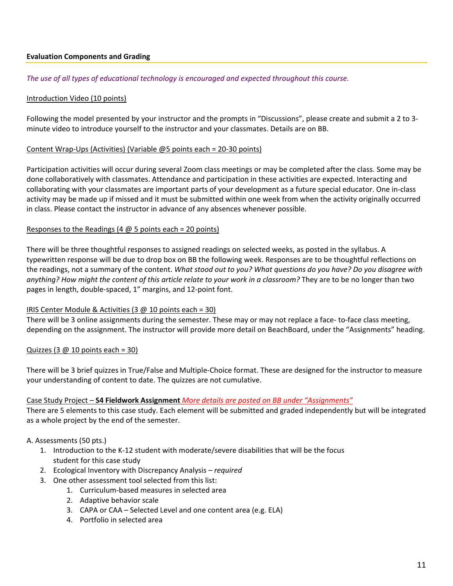## **Evaluation Components and Grading**

#### *The use of all types of educational technology is encouraged and expected throughout this course.*

#### Introduction Video (10 points)

Following the model presented by your instructor and the prompts in "Discussions", please create and submit a 2 to 3 minute video to introduce yourself to the instructor and your classmates. Details are on BB.

#### Content Wrap-Ups (Activities) (Variable @5 points each = 20-30 points)

Participation activities will occur during several Zoom class meetings or may be completed after the class. Some may be done collaboratively with classmates. Attendance and participation in these activities are expected. Interacting and collaborating with your classmates are important parts of your development as a future special educator. One in-class activity may be made up if missed and it must be submitted within one week from when the activity originally occurred in class. Please contact the instructor in advance of any absences whenever possible.

#### Responses to the Readings (4  $\omega$  5 points each = 20 points)

There will be three thoughtful responses to assigned readings on selected weeks, as posted in the syllabus. A typewritten response will be due to drop box on BB the following week. Responses are to be thoughtful reflections on the readings, not a summary of the content. *What stood out to you? What questions do you have? Do you disagree with anything? How might the content of this article relate to your work in a classroom?* They are to be no longer than two pages in length, double-spaced, 1" margins, and 12-point font.

#### IRIS Center Module & Activities (3 @ 10 points each = 30)

There will be 3 online assignments during the semester. These may or may not replace a face- to-face class meeting, depending on the assignment. The instructor will provide more detail on BeachBoard, under the "Assignments" heading.

### Quizzes (3  $\omega$  10 points each = 30)

There will be 3 brief quizzes in True/False and Multiple-Choice format. These are designed for the instructor to measure your understanding of content to date. The quizzes are not cumulative.

#### Case Study Project – **S4 Fieldwork Assignment** *More details are posted on BB under "Assignments"*

There are 5 elements to this case study. Each element will be submitted and graded independently but will be integrated as a whole project by the end of the semester.

### A. Assessments (50 pts.)

- 1. Introduction to the K-12 student with moderate/severe disabilities that will be the focus student for this case study
- 2. Ecological Inventory with Discrepancy Analysis *required*
- 3. One other assessment tool selected from this list:
	- 1. Curriculum-based measures in selected area
	- 2. Adaptive behavior scale
	- 3. CAPA or CAA Selected Level and one content area (e.g. ELA)
	- 4. Portfolio in selected area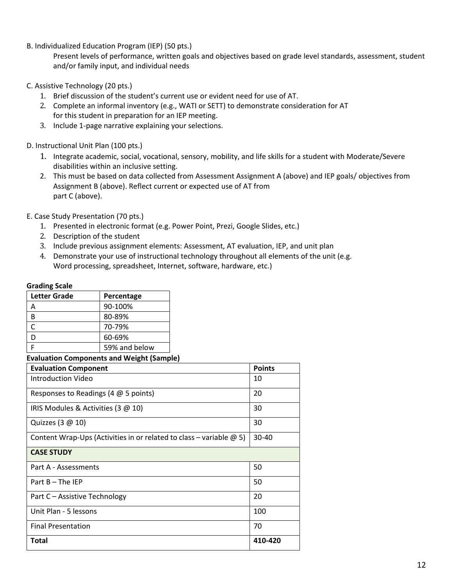B. Individualized Education Program (IEP) (50 pts.)

Present levels of performance, written goals and objectives based on grade level standards, assessment, student and/or family input, and individual needs

- C. Assistive Technology (20 pts.)
	- 1. Brief discussion of the student's current use or evident need for use of AT.
	- 2. Complete an informal inventory (e.g., WATI or SETT) to demonstrate consideration for AT for this student in preparation for an IEP meeting.
	- 3. Include 1-page narrative explaining your selections.

D. Instructional Unit Plan (100 pts.)

- 1. Integrate academic, social, vocational, sensory, mobility, and life skills for a student with Moderate/Severe disabilities within an inclusive setting.
- 2. This must be based on data collected from Assessment Assignment A (above) and IEP goals/ objectives from Assignment B (above). Reflect current or expected use of AT from part C (above).

E. Case Study Presentation (70 pts.)

- 1. Presented in electronic format (e.g. Power Point, Prezi, Google Slides, etc.)
- 2. Description of the student
- 3. Include previous assignment elements: Assessment, AT evaluation, IEP, and unit plan
- 4. Demonstrate your use of instructional technology throughout all elements of the unit (e.g. Word processing, spreadsheet, Internet, software, hardware, etc.)

#### **Grading Scale**

| Percentage    |
|---------------|
| 90-100%       |
| 80-89%        |
| 70-79%        |
| 60-69%        |
| 59% and below |
|               |

### **Evaluation Components and Weight (Sample)**

| <b>Evaluation Component</b>                                                | <b>Points</b> |
|----------------------------------------------------------------------------|---------------|
| Introduction Video                                                         | 10            |
| Responses to Readings (4 $@$ 5 points)                                     | 20            |
| IRIS Modules & Activities (3 @ 10)                                         | 30            |
| Quizzes (3 @ 10)                                                           | 30            |
| Content Wrap-Ups (Activities in or related to class – variable $\omega$ 5) | $30 - 40$     |
| <b>CASE STUDY</b>                                                          |               |
| Part A - Assessments                                                       | 50            |
| Part $B$ – The IEP                                                         | 50            |
| Part C - Assistive Technology                                              | 20            |
| Unit Plan - 5 lessons                                                      | 100           |
| <b>Final Presentation</b>                                                  | 70            |
| <b>Total</b>                                                               | 410-420       |